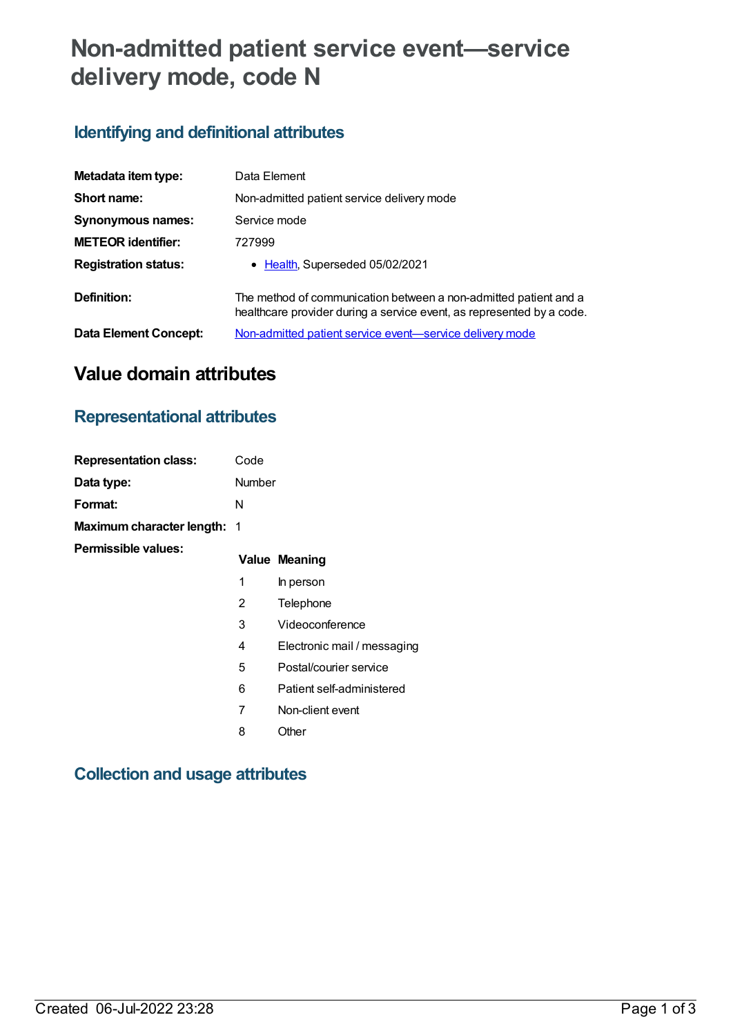# **Non-admitted patient service event—service delivery mode, code N**

# **Identifying and definitional attributes**

| Metadata item type:         | Data Element                                                                                                                              |
|-----------------------------|-------------------------------------------------------------------------------------------------------------------------------------------|
| Short name:                 | Non-admitted patient service delivery mode                                                                                                |
| <b>Synonymous names:</b>    | Service mode                                                                                                                              |
| <b>METEOR identifier:</b>   | 727999                                                                                                                                    |
| <b>Registration status:</b> | • Health, Superseded 05/02/2021                                                                                                           |
| Definition:                 | The method of communication between a non-admitted patient and a<br>healthcare provider during a service event, as represented by a code. |
| Data Element Concept:       | Non-admitted patient service event-service delivery mode                                                                                  |

# **Value domain attributes**

# **Representational attributes**

| <b>Representation class:</b>       | Code   |                             |
|------------------------------------|--------|-----------------------------|
| Data type:                         | Number |                             |
| Format:                            | N      |                             |
| <b>Maximum character length: 1</b> |        |                             |
| Permissible values:                |        | <b>Value Meaning</b>        |
|                                    | 1      | In person                   |
|                                    | 2      | Telephone                   |
|                                    | 3      | Videoconference             |
|                                    | 4      | Electronic mail / messaging |
|                                    | 5      | Postal/courier service      |
|                                    | 6      | Patient self-administered   |
|                                    | 7      | Non-client event            |
|                                    | 8      | Other                       |

### **Collection and usage attributes**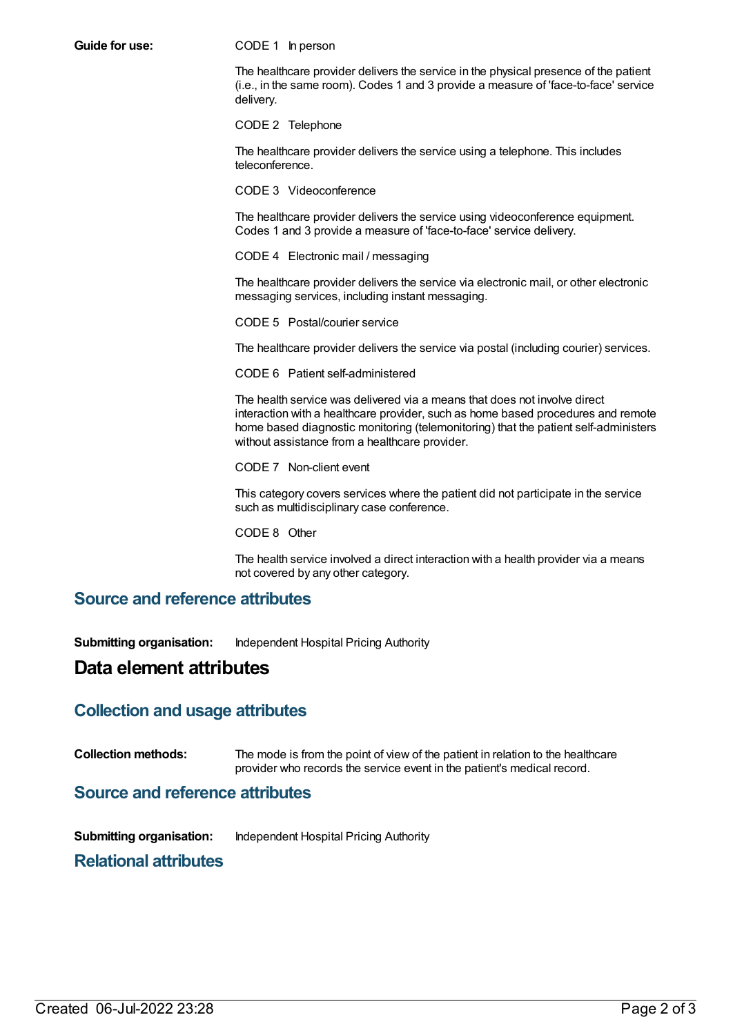**Guide for use:** CODE 1 In person

The healthcare provider delivers the service in the physical presence of the patient (i.e., in the same room). Codes 1 and 3 provide a measure of 'face-to-face' service delivery.

CODE 2 Telephone

The healthcare provider delivers the service using a telephone. This includes teleconference.

CODE 3 Videoconference

The healthcare provider delivers the service using videoconference equipment. Codes 1 and 3 provide a measure of 'face-to-face' service delivery.

CODE 4 Electronic mail / messaging

The healthcare provider delivers the service via electronic mail, or other electronic messaging services, including instant messaging.

CODE 5 Postal/courier service

The healthcare provider delivers the service via postal (including courier) services.

CODE 6 Patient self-administered

The health service was delivered via a means that does not involve direct interaction with a healthcare provider, such as home based procedures and remote home based diagnostic monitoring (telemonitoring) that the patient self-administers without assistance from a healthcare provider.

CODE 7 Non-client event

This category covers services where the patient did not participate in the service such as multidisciplinary case conference.

CODE 8 Other

The health service involved a direct interaction with a health provider via a means not covered by any other category.

#### **Source and reference attributes**

**Submitting organisation:** Independent Hospital Pricing Authority

### **Data element attributes**

#### **Collection and usage attributes**

**Collection methods:** The mode is from the point of view of the patient in relation to the healthcare provider who records the service event in the patient's medical record.

**Source and reference attributes**

**Submitting organisation:** Independent Hospital Pricing Authority

#### **Relational attributes**